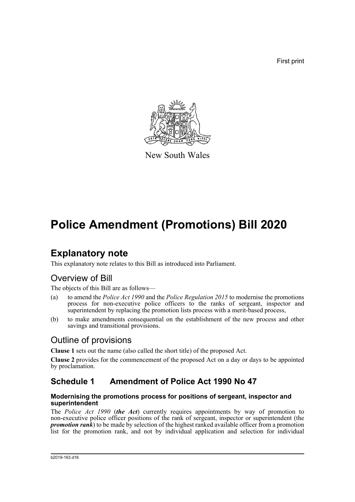First print



New South Wales

# **Police Amendment (Promotions) Bill 2020**

# **Explanatory note**

This explanatory note relates to this Bill as introduced into Parliament.

## Overview of Bill

The objects of this Bill are as follows—

- (a) to amend the *Police Act 1990* and the *Police Regulation 2015* to modernise the promotions process for non-executive police officers to the ranks of sergeant, inspector and superintendent by replacing the promotion lists process with a merit-based process,
- (b) to make amendments consequential on the establishment of the new process and other savings and transitional provisions.

## Outline of provisions

**Clause 1** sets out the name (also called the short title) of the proposed Act.

**Clause 2** provides for the commencement of the proposed Act on a day or days to be appointed by proclamation.

## **Schedule 1 Amendment of Police Act 1990 No 47**

#### **Modernising the promotions process for positions of sergeant, inspector and superintendent**

The *Police Act 1990* (*the Act*) currently requires appointments by way of promotion to non-executive police officer positions of the rank of sergeant, inspector or superintendent (the *promotion rank*) to be made by selection of the highest ranked available officer from a promotion list for the promotion rank, and not by individual application and selection for individual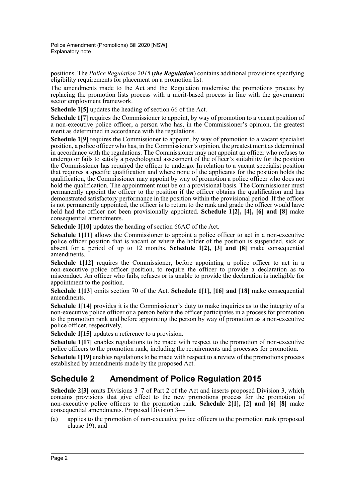positions. The *Police Regulation 2015* (*the Regulation*) contains additional provisions specifying eligibility requirements for placement on a promotion list.

The amendments made to the Act and the Regulation modernise the promotions process by replacing the promotion lists process with a merit-based process in line with the government sector employment framework.

**Schedule 1[5]** updates the heading of section 66 of the Act.

**Schedule 1[7]** requires the Commissioner to appoint, by way of promotion to a vacant position of a non-executive police officer, a person who has, in the Commissioner's opinion, the greatest merit as determined in accordance with the regulations.

**Schedule 1[9]** requires the Commissioner to appoint, by way of promotion to a vacant specialist position, a police officer who has, in the Commissioner's opinion, the greatest merit as determined in accordance with the regulations. The Commissioner may not appoint an officer who refuses to undergo or fails to satisfy a psychological assessment of the officer's suitability for the position the Commissioner has required the officer to undergo. In relation to a vacant specialist position that requires a specific qualification and where none of the applicants for the position holds the qualification, the Commissioner may appoint by way of promotion a police officer who does not hold the qualification. The appointment must be on a provisional basis. The Commissioner must permanently appoint the officer to the position if the officer obtains the qualification and has demonstrated satisfactory performance in the position within the provisional period. If the officer is not permanently appointed, the officer is to return to the rank and grade the officer would have held had the officer not been provisionally appointed. **Schedule 1<sup>[2]</sup>, [4], [6] and [8]** make consequential amendments.

**Schedule 1[10]** updates the heading of section 66AC of the Act.

**Schedule 1[11]** allows the Commissioner to appoint a police officer to act in a non-executive police officer position that is vacant or where the holder of the position is suspended, sick or absent for a period of up to 12 months. **Schedule 1[2], [3] and [8]** make consequential amendments.

**Schedule 1[12]** requires the Commissioner, before appointing a police officer to act in a non-executive police officer position, to require the officer to provide a declaration as to misconduct. An officer who fails, refuses or is unable to provide the declaration is ineligible for appointment to the position.

**Schedule 1[13]** omits section 70 of the Act. **Schedule 1[1], [16] and [18]** make consequential amendments.

**Schedule 1[14]** provides it is the Commissioner's duty to make inquiries as to the integrity of a non-executive police officer or a person before the officer participates in a process for promotion to the promotion rank and before appointing the person by way of promotion as a non-executive police officer, respectively.

**Schedule 1[15]** updates a reference to a provision.

**Schedule 1[17]** enables regulations to be made with respect to the promotion of non-executive police officers to the promotion rank, including the requirements and processes for promotion.

**Schedule 1[19]** enables regulations to be made with respect to a review of the promotions process established by amendments made by the proposed Act.

## **Schedule 2 Amendment of Police Regulation 2015**

**Schedule 2[3]** omits Divisions 3–7 of Part 2 of the Act and inserts proposed Division 3, which contains provisions that give effect to the new promotions process for the promotion of non-executive police officers to the promotion rank. **Schedule 2[1], [2] and [6]–[8]** make consequential amendments. Proposed Division 3—

(a) applies to the promotion of non-executive police officers to the promotion rank (proposed clause 19), and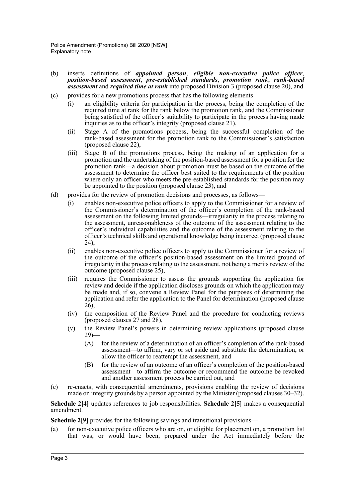- (b) inserts definitions of *appointed person*, *eligible non-executive police officer*, *position-based assessment*, *pre-established standards*, *promotion rank*, *rank-based assessment* and *required time at rank* into proposed Division 3 (proposed clause 20), and
- (c) provides for a new promotions process that has the following elements—
	- (i) an eligibility criteria for participation in the process, being the completion of the required time at rank for the rank below the promotion rank, and the Commissioner being satisfied of the officer's suitability to participate in the process having made inquiries as to the officer's integrity (proposed clause 21),
	- (ii) Stage A of the promotions process, being the successful completion of the rank-based assessment for the promotion rank to the Commissioner's satisfaction (proposed clause 22),
	- (iii) Stage B of the promotions process, being the making of an application for a promotion and the undertaking of the position-based assessment for a position for the promotion rank—a decision about promotion must be based on the outcome of the assessment to determine the officer best suited to the requirements of the position where only an officer who meets the pre-established standards for the position may be appointed to the position (proposed clause 23), and
- (d) provides for the review of promotion decisions and processes, as follows—
	- (i) enables non-executive police officers to apply to the Commissioner for a review of the Commissioner's determination of the officer's completion of the rank-based assessment on the following limited grounds—irregularity in the process relating to the assessment, unreasonableness of the outcome of the assessment relating to the officer's individual capabilities and the outcome of the assessment relating to the officer's technical skills and operational knowledge being incorrect (proposed clause 24),
	- (ii) enables non-executive police officers to apply to the Commissioner for a review of the outcome of the officer's position-based assessment on the limited ground of irregularity in the process relating to the assessment, not being a merits review of the outcome (proposed clause 25),
	- (iii) requires the Commissioner to assess the grounds supporting the application for review and decide if the application discloses grounds on which the application may be made and, if so, convene a Review Panel for the purposes of determining the application and refer the application to the Panel for determination (proposed clause  $26$ ).
	- (iv) the composition of the Review Panel and the procedure for conducting reviews (proposed clauses 27 and 28),
	- (v) the Review Panel's powers in determining review applications (proposed clause  $29$ )
		- (A) for the review of a determination of an officer's completion of the rank-based assessment—to affirm, vary or set aside and substitute the determination, or allow the officer to reattempt the assessment, and
		- (B) for the review of an outcome of an officer's completion of the position-based assessment—to affirm the outcome or recommend the outcome be revoked and another assessment process be carried out, and
- (e) re-enacts, with consequential amendments, provisions enabling the review of decisions made on integrity grounds by a person appointed by the Minister (proposed clauses 30–32).

**Schedule 2[4]** updates references to job responsibilities. **Schedule 2[5]** makes a consequential amendment.

**Schedule 2[9]** provides for the following savings and transitional provisions—

(a) for non-executive police officers who are on, or eligible for placement on, a promotion list that was, or would have been, prepared under the Act immediately before the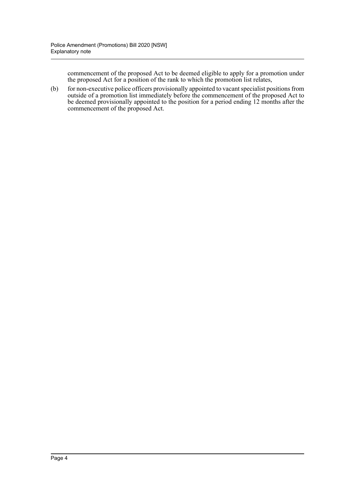commencement of the proposed Act to be deemed eligible to apply for a promotion under the proposed Act for a position of the rank to which the promotion list relates,

(b) for non-executive police officers provisionally appointed to vacant specialist positions from outside of a promotion list immediately before the commencement of the proposed Act to be deemed provisionally appointed to the position for a period ending 12 months after the commencement of the proposed Act.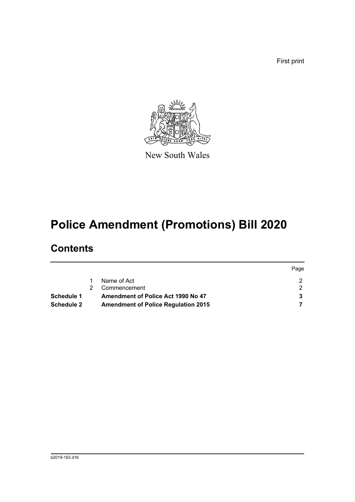First print



New South Wales

# **Police Amendment (Promotions) Bill 2020**

# **Contents**

|                   |                                            | Page |
|-------------------|--------------------------------------------|------|
|                   | Name of Act                                |      |
|                   | Commencement                               |      |
| Schedule 1        | Amendment of Police Act 1990 No 47         |      |
| <b>Schedule 2</b> | <b>Amendment of Police Regulation 2015</b> |      |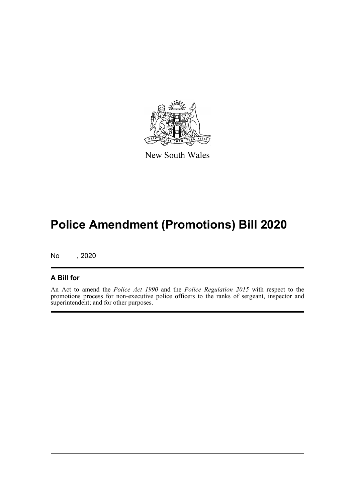

New South Wales

# **Police Amendment (Promotions) Bill 2020**

No , 2020

#### **A Bill for**

An Act to amend the *Police Act 1990* and the *Police Regulation 2015* with respect to the promotions process for non-executive police officers to the ranks of sergeant, inspector and superintendent; and for other purposes.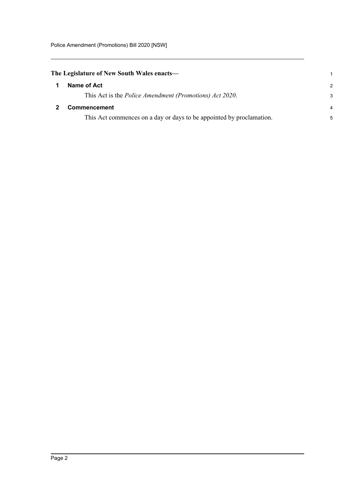<span id="page-6-0"></span>

| The Legislature of New South Wales enacts- |  |  |
|--------------------------------------------|--|--|
|                                            |  |  |

<span id="page-6-1"></span>

| Name of Act                                                          | $\mathcal{P}$ |
|----------------------------------------------------------------------|---------------|
| This Act is the <i>Police Amendment (Promotions) Act 2020</i> .      | 3             |
| <b>Commencement</b>                                                  |               |
| This Act commences on a day or days to be appointed by proclamation. | 5             |

1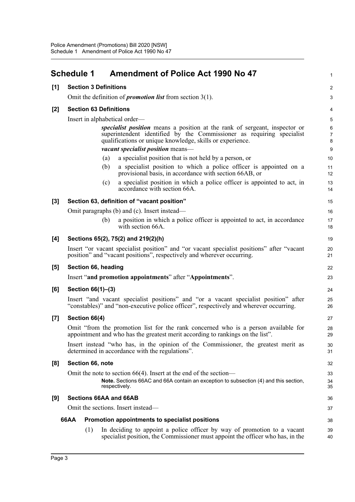<span id="page-7-0"></span>

|       | <b>Schedule 1</b>             | <b>Amendment of Police Act 1990 No 47</b>                                                                                                                                                                        | 1                        |
|-------|-------------------------------|------------------------------------------------------------------------------------------------------------------------------------------------------------------------------------------------------------------|--------------------------|
| [1]   | <b>Section 3 Definitions</b>  |                                                                                                                                                                                                                  | $\overline{c}$           |
|       |                               | Omit the definition of <i>promotion list</i> from section $3(1)$ .                                                                                                                                               | 3                        |
| $[2]$ | <b>Section 63 Definitions</b> |                                                                                                                                                                                                                  | 4                        |
|       |                               | Insert in alphabetical order—                                                                                                                                                                                    | 5                        |
|       |                               | specialist position means a position at the rank of sergeant, inspector or<br>superintendent identified by the Commissioner as requiring specialist<br>qualifications or unique knowledge, skills or experience. | 6<br>$\overline{7}$<br>8 |
|       |                               | <i>vacant specialist position</i> means-                                                                                                                                                                         | 9                        |
|       |                               | a specialist position that is not held by a person, or<br>(a)                                                                                                                                                    | 10                       |
|       |                               | a specialist position to which a police officer is appointed on a<br>(b)<br>provisional basis, in accordance with section 66AB, or                                                                               | 11<br>12                 |
|       |                               | a specialist position in which a police officer is appointed to act, in<br>(c)<br>accordance with section 66A.                                                                                                   | 13<br>14                 |
| $[3]$ |                               | Section 63, definition of "vacant position"                                                                                                                                                                      | 15                       |
|       |                               | Omit paragraphs (b) and (c). Insert instead—                                                                                                                                                                     | 16                       |
|       |                               | a position in which a police officer is appointed to act, in accordance<br>(b)<br>with section 66A.                                                                                                              | 17<br>18                 |
| [4]   |                               | Sections 65(2), 75(2) and 219(2)(h)                                                                                                                                                                              | 19                       |
|       |                               | Insert "or vacant specialist position" and "or vacant specialist positions" after "vacant<br>position" and "vacant positions", respectively and wherever occurring.                                              | 20<br>21                 |
| [5]   | Section 66, heading           |                                                                                                                                                                                                                  | 22                       |
|       |                               | Insert "and promotion appointments" after "Appointments".                                                                                                                                                        | 23                       |
| [6]   | Section 66(1)-(3)             |                                                                                                                                                                                                                  | 24                       |
|       |                               | Insert "and vacant specialist positions" and "or a vacant specialist position" after<br>"constables)" and "non-executive police officer", respectively and wherever occurring.                                   | 25<br>26                 |
| $[7]$ | Section 66(4)                 |                                                                                                                                                                                                                  | 27                       |
|       |                               | Omit "from the promotion list for the rank concerned who is a person available for<br>appointment and who has the greatest merit according to rankings on the list".                                             | 28<br>29                 |
|       |                               | Insert instead "who has, in the opinion of the Commissioner, the greatest merit as<br>determined in accordance with the regulations".                                                                            | 30<br>31                 |
| [8]   | Section 66, note              |                                                                                                                                                                                                                  | 32                       |
|       |                               | Omit the note to section $66(4)$ . Insert at the end of the section—                                                                                                                                             | 33                       |
|       |                               | Note. Sections 66AC and 66A contain an exception to subsection (4) and this section,<br>respectively.                                                                                                            | 34<br>35                 |
| [9]   |                               | Sections 66AA and 66AB                                                                                                                                                                                           | 36                       |
|       |                               | Omit the sections. Insert instead—                                                                                                                                                                               | 37                       |
|       | 66AA                          | Promotion appointments to specialist positions                                                                                                                                                                   | 38                       |
|       | (1)                           | In deciding to appoint a police officer by way of promotion to a vacant<br>specialist position, the Commissioner must appoint the officer who has, in the                                                        | 39<br>40                 |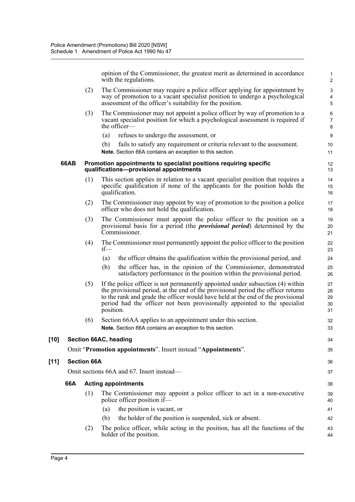opinion of the Commissioner, the greatest merit as determined in accordance with the regulations.

1

44

(2) The Commissioner may require a police officer applying for appointment by way of promotion to a vacant specialist position to undergo a psychological assessment of the officer's suitability for the position. (3) The Commissioner may not appoint a police officer by way of promotion to a vacant specialist position for which a psychological assessment is required if the officer— (a) refuses to undergo the assessment, or (b) fails to satisfy any requirement or criteria relevant to the assessment. **Note.** Section 66A contains an exception to this section. **66AB Promotion appointments to specialist positions requiring specific qualifications—provisional appointments** (1) This section applies in relation to a vacant specialist position that requires a specific qualification if none of the applicants for the position holds the qualification. (2) The Commissioner may appoint by way of promotion to the position a police officer who does not hold the qualification. (3) The Commissioner must appoint the police officer to the position on a provisional basis for a period (the *provisional period*) determined by the Commissioner. (4) The Commissioner must permanently appoint the police officer to the position if— (a) the officer obtains the qualification within the provisional period, and (b) the officer has, in the opinion of the Commissioner, demonstrated satisfactory performance in the position within the provisional period. (5) If the police officer is not permanently appointed under subsection (4) within the provisional period, at the end of the provisional period the officer returns to the rank and grade the officer would have held at the end of the provisional period had the officer not been provisionally appointed to the specialist position. (6) Section 66AA applies to an appointment under this section. **Note.** Section 66A contains an exception to this section. **[10] Section 66AC, heading** Omit "**Promotion appointments**". Insert instead "**Appointments**". **[11] Section 66A** Omit sections 66A and 67. Insert instead— **66A Acting appointments** (1) The Commissioner may appoint a police officer to act in a non-executive police officer position if— (a) the position is vacant, or (b) the holder of the position is suspended, sick or absent. (2) The police officer, while acting in the position, has all the functions of the 2 3 4 5 6 7 8 9 10 11 12 13 14 15 16 17 18 19 20 21 22 23  $24$ 25 26 27 28 29 30 31 32 33 34 35 36 37 38 39 40 41 42 43

holder of the position.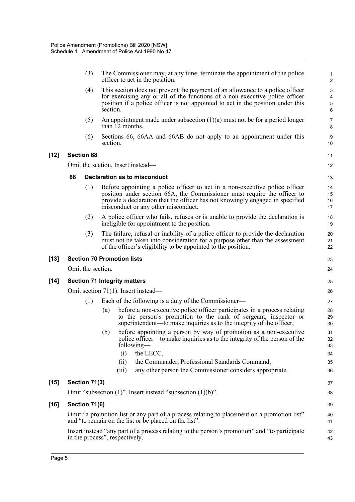(3) The Commissioner may, at any time, terminate the appointment of the police officer to act in the position.

- (4) This section does not prevent the payment of an allowance to a police officer for exercising any or all of the functions of a non-executive police officer position if a police officer is not appointed to act in the position under this section.
- (5) An appointment made under subsection (1)(a) must not be for a period longer than 12 months.
- (6) Sections 66, 66AA and 66AB do not apply to an appointment under this section.

#### **[12] Section 68**

Omit the section. Insert instead—

#### **68 Declaration as to misconduct**

- (1) Before appointing a police officer to act in a non-executive police officer position under section 66A, the Commissioner must require the officer to provide a declaration that the officer has not knowingly engaged in specified misconduct or any other misconduct.
- (2) A police officer who fails, refuses or is unable to provide the declaration is ineligible for appointment to the position.
- (3) The failure, refusal or inability of a police officer to provide the declaration must not be taken into consideration for a purpose other than the assessment of the officer's eligibility to be appointed to the position.

#### **[13] Section 70 Promotion lists**

Omit the section.

#### **[14] Section 71 Integrity matters**

Omit section 71(1). Insert instead—

- (1) Each of the following is a duty of the Commissioner—
	- (a) before a non-executive police officer participates in a process relating to the person's promotion to the rank of sergeant, inspector or superintendent—to make inquiries as to the integrity of the officer,
	- (b) before appointing a person by way of promotion as a non-executive police officer—to make inquiries as to the integrity of the person of the following—
		- (i) the LECC, (ii) the Commander, Professional Standards Command,
		- (iii) any other person the Commissioner considers appropriate.

#### **[15] Section 71(3)**

Omit "subsection (1)". Insert instead "subsection (1)(b)".

#### **[16] Section 71(6)**

Omit "a promotion list or any part of a process relating to placement on a promotion list" and "to remain on the list or be placed on the list".

Insert instead "any part of a process relating to the person's promotion" and "to participate in the process", respectively.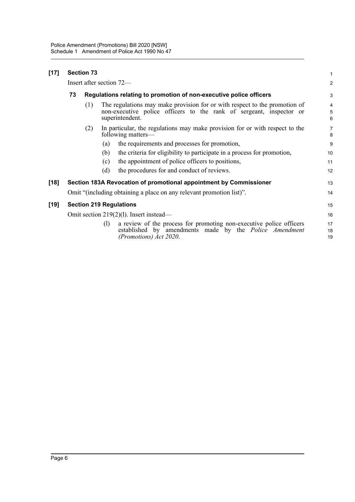| $[17]$ |                                         | <b>Section 73</b>                                                  |     |                                                                                                                                                                      | 1              |
|--------|-----------------------------------------|--------------------------------------------------------------------|-----|----------------------------------------------------------------------------------------------------------------------------------------------------------------------|----------------|
|        | Insert after section 72—                |                                                                    |     |                                                                                                                                                                      |                |
|        | 73                                      | Regulations relating to promotion of non-executive police officers |     |                                                                                                                                                                      | 3              |
|        |                                         | (1)                                                                |     | The regulations may make provision for or with respect to the promotion of<br>non-executive police officers to the rank of sergeant, inspector or<br>superintendent. | 4<br>5<br>6    |
|        |                                         | (2)                                                                |     | In particular, the regulations may make provision for or with respect to the<br>following matters—                                                                   | 7<br>8         |
|        |                                         |                                                                    | (a) | the requirements and processes for promotion,                                                                                                                        | 9              |
|        |                                         |                                                                    | (b) | the criteria for eligibility to participate in a process for promotion,                                                                                              | 10             |
|        |                                         |                                                                    | (c) | the appointment of police officers to positions,                                                                                                                     | 11             |
|        |                                         |                                                                    | (d) | the procedures for and conduct of reviews.                                                                                                                           | 12             |
| $[18]$ |                                         |                                                                    |     | Section 183A Revocation of promotional appointment by Commissioner                                                                                                   | 13             |
|        |                                         |                                                                    |     | Omit "(including obtaining a place on any relevant promotion list)".                                                                                                 | 14             |
| $[19]$ |                                         |                                                                    |     | <b>Section 219 Regulations</b>                                                                                                                                       | 15             |
|        | Omit section 219(2)(1). Insert instead— |                                                                    |     |                                                                                                                                                                      | 16             |
|        |                                         |                                                                    | (1) | a review of the process for promoting non-executive police officers<br>established by amendments made by the Police Amendment<br>(Promotions) Act 2020.              | 17<br>18<br>19 |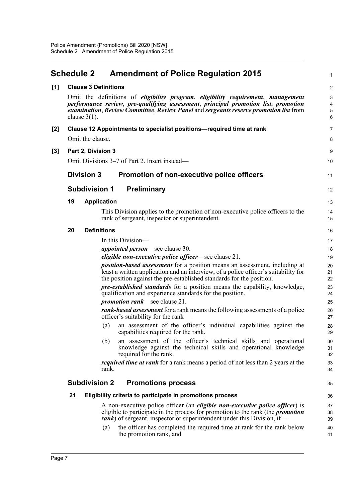## <span id="page-11-0"></span>**Schedule 2 Amendment of Police Regulation 2015**

1

| [1] |    | <b>Clause 3 Definitions</b> |                                                                                                                                                                                                                                                                        | $\overline{\mathbf{c}}$            |
|-----|----|-----------------------------|------------------------------------------------------------------------------------------------------------------------------------------------------------------------------------------------------------------------------------------------------------------------|------------------------------------|
|     |    |                             | Omit the definitions of <i>eligibility program, eligibility requirement, management</i><br>performance review, pre-qualifying assessment, principal promotion list, promotion<br>examination, Review Committee, Review Panel and sergeants reserve promotion list from | 3<br>$\overline{\mathcal{A}}$<br>5 |
|     |    | clause $3(1)$ .             |                                                                                                                                                                                                                                                                        | 6                                  |
| [2] |    |                             | Clause 12 Appointments to specialist positions-required time at rank                                                                                                                                                                                                   | 7                                  |
|     |    | Omit the clause.            |                                                                                                                                                                                                                                                                        | 8                                  |
| [3] |    | Part 2, Division 3          |                                                                                                                                                                                                                                                                        | 9                                  |
|     |    |                             | Omit Divisions 3–7 of Part 2. Insert instead—                                                                                                                                                                                                                          | 10                                 |
|     |    | <b>Division 3</b>           | <b>Promotion of non-executive police officers</b>                                                                                                                                                                                                                      | 11                                 |
|     |    | <b>Subdivision 1</b>        | <b>Preliminary</b>                                                                                                                                                                                                                                                     | 12                                 |
|     | 19 | <b>Application</b>          |                                                                                                                                                                                                                                                                        | 13                                 |
|     |    |                             | This Division applies to the promotion of non-executive police officers to the<br>rank of sergeant, inspector or superintendent.                                                                                                                                       | 14<br>15                           |
|     | 20 | <b>Definitions</b>          |                                                                                                                                                                                                                                                                        | 16                                 |
|     |    |                             | In this Division—                                                                                                                                                                                                                                                      | 17                                 |
|     |    |                             | <i>appointed person</i> —see clause 30.                                                                                                                                                                                                                                | 18                                 |
|     |    |                             | <i>eligible non-executive police officer</i> —see clause 21.                                                                                                                                                                                                           | 19                                 |
|     |    |                             | <i>position-based assessment</i> for a position means an assessment, including at<br>least a written application and an interview, of a police officer's suitability for<br>the position against the pre-established standards for the position.                       | 20<br>21<br>22                     |
|     |    |                             | <i>pre-established standards</i> for a position means the capability, knowledge,<br>qualification and experience standards for the position.                                                                                                                           | 23<br>24                           |
|     |    |                             | <i>promotion rank</i> —see clause 21.                                                                                                                                                                                                                                  | 25                                 |
|     |    |                             | <i>rank-based assessment</i> for a rank means the following assessments of a police<br>officer's suitability for the rank—                                                                                                                                             | 26<br>27                           |
|     |    | (a)                         | an assessment of the officer's individual capabilities against the<br>capabilities required for the rank,                                                                                                                                                              | 28<br>29                           |
|     |    | (b)                         | an assessment of the officer's technical skills and operational<br>knowledge against the technical skills and operational knowledge<br>required for the rank.                                                                                                          | 30<br>31<br>32                     |
|     |    | rank.                       | <i>required time at rank</i> for a rank means a period of not less than 2 years at the                                                                                                                                                                                 | 33<br>34                           |
|     |    | <b>Subdivision 2</b>        | <b>Promotions process</b>                                                                                                                                                                                                                                              | 35                                 |
|     | 21 |                             | Eligibility criteria to participate in promotions process                                                                                                                                                                                                              | 36                                 |
|     |    |                             | A non-executive police officer (an <i>eligible non-executive police officer</i> ) is                                                                                                                                                                                   | 37                                 |
|     |    |                             | eligible to participate in the process for promotion to the rank (the <i>promotion</i><br><i>rank</i> ) of sergeant, inspector or superintendent under this Division, if—                                                                                              | 38<br>39                           |
|     |    | (a)                         | the officer has completed the required time at rank for the rank below<br>the promotion rank, and                                                                                                                                                                      | 40<br>41                           |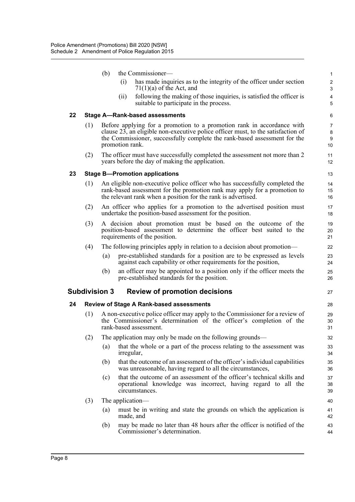|    |     | (b)                  | the Commissioner-                                                                                                                                                                                                                                          | $\mathbf{1}$                 |
|----|-----|----------------------|------------------------------------------------------------------------------------------------------------------------------------------------------------------------------------------------------------------------------------------------------------|------------------------------|
|    |     |                      | has made inquiries as to the integrity of the officer under section<br>(i)<br>$71(1)(a)$ of the Act, and                                                                                                                                                   | 2<br>3                       |
|    |     |                      | following the making of those inquiries, is satisfied the officer is<br>(i)<br>suitable to participate in the process.                                                                                                                                     | $\overline{\mathbf{4}}$<br>5 |
| 22 |     |                      | <b>Stage A-Rank-based assessments</b>                                                                                                                                                                                                                      | 6                            |
|    | (1) |                      | Before applying for a promotion to a promotion rank in accordance with<br>clause 23, an eligible non-executive police officer must, to the satisfaction of<br>the Commissioner, successfully complete the rank-based assessment for the<br>promotion rank. | 7<br>8<br>9<br>10            |
|    | (2) |                      | The officer must have successfully completed the assessment not more than 2<br>years before the day of making the application.                                                                                                                             | 11<br>12                     |
| 23 |     |                      | <b>Stage B-Promotion applications</b>                                                                                                                                                                                                                      | 13                           |
|    | (1) |                      | An eligible non-executive police officer who has successfully completed the<br>rank-based assessment for the promotion rank may apply for a promotion to<br>the relevant rank when a position for the rank is advertised.                                  | 14<br>15<br>16               |
|    | (2) |                      | An officer who applies for a promotion to the advertised position must<br>undertake the position-based assessment for the position.                                                                                                                        | 17<br>18                     |
|    | (3) |                      | A decision about promotion must be based on the outcome of the<br>position-based assessment to determine the officer best suited to the<br>requirements of the position.                                                                                   | 19<br>20<br>21               |
|    | (4) |                      | The following principles apply in relation to a decision about promotion—                                                                                                                                                                                  | 22                           |
|    |     | (a)                  | pre-established standards for a position are to be expressed as levels<br>against each capability or other requirements for the position,                                                                                                                  | 23<br>24                     |
|    |     | (b)                  | an officer may be appointed to a position only if the officer meets the<br>pre-established standards for the position.                                                                                                                                     | 25<br>26                     |
|    |     | <b>Subdivision 3</b> | <b>Review of promotion decisions</b>                                                                                                                                                                                                                       | 27                           |
| 24 |     |                      | <b>Review of Stage A Rank-based assessments</b>                                                                                                                                                                                                            | 28                           |
|    | (1) |                      | A non-executive police officer may apply to the Commissioner for a review of<br>the Commissioner's determination of the officer's completion of the<br>rank-based assessment.                                                                              | 29<br>30<br>31               |
|    | (2) |                      | The application may only be made on the following grounds-                                                                                                                                                                                                 | 32                           |
|    |     | (a)                  | that the whole or a part of the process relating to the assessment was<br>irregular,                                                                                                                                                                       | 33<br>34                     |
|    |     | (b)                  | that the outcome of an assessment of the officer's individual capabilities<br>was unreasonable, having regard to all the circumstances,                                                                                                                    | 35<br>36                     |
|    |     | (c)                  | that the outcome of an assessment of the officer's technical skills and<br>operational knowledge was incorrect, having regard to all the<br>circumstances.                                                                                                 | 37<br>38<br>39               |
|    | (3) |                      | The application—                                                                                                                                                                                                                                           | 40                           |
|    |     | (a)                  | must be in writing and state the grounds on which the application is<br>made, and                                                                                                                                                                          | 41<br>42                     |
|    |     | (b)                  |                                                                                                                                                                                                                                                            |                              |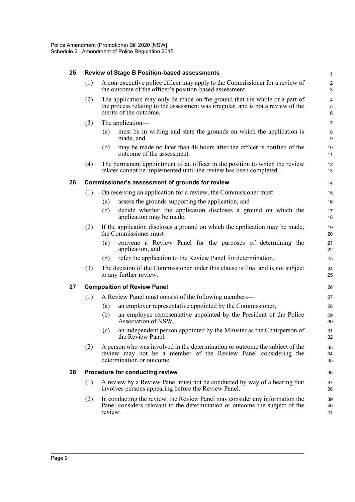#### **25 Review of Stage B Position-based assessments**

| (1) A non-executive police officer may apply to the Commissioner for a review of |
|----------------------------------------------------------------------------------|
| the outcome of the officer's position-based assessment.                          |

- (2) The application may only be made on the ground that the whole or a part of the process relating to the assessment was irregular, and is not a review of the merits of the outcome.
- (3) The application—
	- (a) must be in writing and state the grounds on which the application is made, and
	- (b) may be made no later than 48 hours after the officer is notified of the outcome of the assessment.
- (4) The permanent appointment of an officer in the position to which the review relates cannot be implemented until the review has been completed.

#### **26 Commissioner's assessment of grounds for review**

- (1) On receiving an application for a review, the Commissioner must—
	- (a) assess the grounds supporting the application, and
	- (b) decide whether the application discloses a ground on which the application may be made.
- (2) If the application discloses a ground on which the application may be made, the Commissioner must—
	- (a) convene a Review Panel for the purposes of determining the application, and
	- (b) refer the application to the Review Panel for determination.
- (3) The decision of the Commissioner under this clause is final and is not subject to any further review.

#### **27 Composition of Review Panel**

- (1) A Review Panel must consist of the following members—
	- (a) an employer representative appointed by the Commissioner,
	- (b) an employee representative appointed by the President of the Police Association of NSW,
	- (c) an independent person appointed by the Minister as the Chairperson of the Review Panel.
- (2) A person who was involved in the determination or outcome the subject of the review may not be a member of the Review Panel considering the determination or outcome.

#### **28 Procedure for conducting review**

- (1) A review by a Review Panel must not be conducted by way of a hearing that involves persons appearing before the Review Panel.
- (2) In conducting the review, the Review Panel may consider any information the Panel considers relevant to the determination or outcome the subject of the review.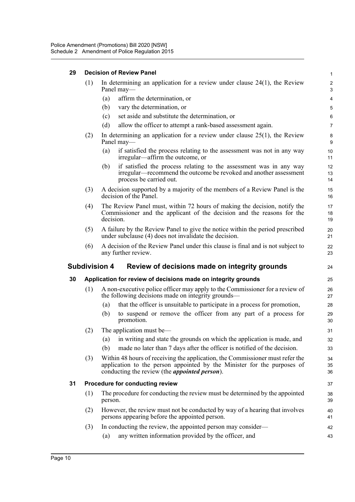| 29 | <b>Decision of Review Panel</b> |                                                                                                                                                                                                                   |                       |  |  |  |  |  |
|----|---------------------------------|-------------------------------------------------------------------------------------------------------------------------------------------------------------------------------------------------------------------|-----------------------|--|--|--|--|--|
|    | (1)                             | In determining an application for a review under clause $24(1)$ , the Review<br>Panel may—                                                                                                                        | $\overline{2}$<br>3   |  |  |  |  |  |
|    |                                 | affirm the determination, or<br>(a)                                                                                                                                                                               | 4                     |  |  |  |  |  |
|    |                                 | vary the determination, or<br>(b)                                                                                                                                                                                 | 5                     |  |  |  |  |  |
|    |                                 | set aside and substitute the determination, or<br>(c)                                                                                                                                                             | 6                     |  |  |  |  |  |
|    |                                 | (d)<br>allow the officer to attempt a rank-based assessment again.                                                                                                                                                | $\overline{7}$        |  |  |  |  |  |
|    | (2)                             | In determining an application for a review under clause $25(1)$ , the Review<br>Panel may-                                                                                                                        | 8<br>9                |  |  |  |  |  |
|    |                                 | if satisfied the process relating to the assessment was not in any way<br>(a)<br>irregular—affirm the outcome, or                                                                                                 | 10 <sup>°</sup><br>11 |  |  |  |  |  |
|    |                                 | if satisfied the process relating to the assessment was in any way<br>(b)<br>irregular—recommend the outcome be revoked and another assessment<br>process be carried out.                                         | 12<br>13<br>14        |  |  |  |  |  |
|    | (3)                             | A decision supported by a majority of the members of a Review Panel is the<br>decision of the Panel.                                                                                                              | 15<br>16              |  |  |  |  |  |
|    | (4)                             | The Review Panel must, within 72 hours of making the decision, notify the<br>Commissioner and the applicant of the decision and the reasons for the<br>decision.                                                  |                       |  |  |  |  |  |
|    | (5)                             | A failure by the Review Panel to give the notice within the period prescribed<br>under subclause (4) does not invalidate the decision.                                                                            |                       |  |  |  |  |  |
|    | (6)                             | A decision of the Review Panel under this clause is final and is not subject to<br>any further review.                                                                                                            | 22<br>23              |  |  |  |  |  |
|    |                                 | <b>Subdivision 4</b><br>Review of decisions made on integrity grounds                                                                                                                                             | 24                    |  |  |  |  |  |
| 30 |                                 | Application for review of decisions made on integrity grounds                                                                                                                                                     | 25                    |  |  |  |  |  |
|    | (1)                             | A non-executive police officer may apply to the Commissioner for a review of<br>the following decisions made on integrity grounds—                                                                                | 26<br>27              |  |  |  |  |  |
|    |                                 | that the officer is unsuitable to participate in a process for promotion,<br>(a)                                                                                                                                  | 28                    |  |  |  |  |  |
|    |                                 | to suspend or remove the officer from any part of a process for<br>(b)<br>promotion.                                                                                                                              | 29<br>30              |  |  |  |  |  |
|    | (2)                             | The application must be—                                                                                                                                                                                          | 31                    |  |  |  |  |  |
|    |                                 | in writing and state the grounds on which the application is made, and<br>(a)                                                                                                                                     | 32                    |  |  |  |  |  |
|    |                                 | made no later than 7 days after the officer is notified of the decision.<br>(b)                                                                                                                                   | 33                    |  |  |  |  |  |
|    | (3)                             | Within 48 hours of receiving the application, the Commissioner must refer the<br>application to the person appointed by the Minister for the purposes of<br>conducting the review (the <i>appointed person</i> ). | 34<br>35<br>36        |  |  |  |  |  |
| 31 |                                 | Procedure for conducting review                                                                                                                                                                                   | 37                    |  |  |  |  |  |
|    | (1)                             | The procedure for conducting the review must be determined by the appointed<br>person.                                                                                                                            | 38<br>39              |  |  |  |  |  |
|    | (2)                             | However, the review must not be conducted by way of a hearing that involves<br>persons appearing before the appointed person.                                                                                     | 40<br>41              |  |  |  |  |  |
|    | (3)                             | In conducting the review, the appointed person may consider—                                                                                                                                                      | 42                    |  |  |  |  |  |
|    |                                 | any written information provided by the officer, and<br>(a)                                                                                                                                                       | 43                    |  |  |  |  |  |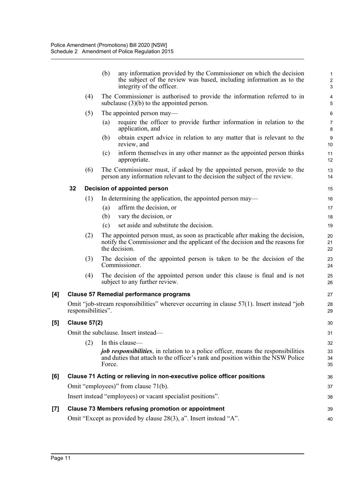|     |    |                     | any information provided by the Commissioner on which the decision<br>(b)<br>the subject of the review was based, including information as to the<br>integrity of the officer. | 1<br>$\overline{\mathbf{c}}$<br>3 |
|-----|----|---------------------|--------------------------------------------------------------------------------------------------------------------------------------------------------------------------------|-----------------------------------|
|     |    | (4)                 | The Commissioner is authorised to provide the information referred to in<br>subclause $(3)(b)$ to the appointed person.                                                        | 4<br>5                            |
|     |    | (5)                 | The appointed person may—                                                                                                                                                      | 6                                 |
|     |    |                     | require the officer to provide further information in relation to the<br>(a)<br>application, and                                                                               | 7<br>8                            |
|     |    |                     | (b)<br>obtain expert advice in relation to any matter that is relevant to the<br>review, and                                                                                   | 9<br>10                           |
|     |    |                     | inform themselves in any other manner as the appointed person thinks<br>(c)<br>appropriate.                                                                                    | 11<br>12                          |
|     |    | (6)                 | The Commissioner must, if asked by the appointed person, provide to the<br>person any information relevant to the decision the subject of the review.                          | 13<br>14                          |
|     | 32 |                     | Decision of appointed person                                                                                                                                                   | 15                                |
|     |    | (1)                 | In determining the application, the appointed person may—                                                                                                                      | 16                                |
|     |    |                     | affirm the decision, or<br>(a)                                                                                                                                                 | 17                                |
|     |    |                     | vary the decision, or<br>(b)                                                                                                                                                   | 18                                |
|     |    |                     | set aside and substitute the decision.<br>(c)                                                                                                                                  | 19                                |
|     |    | (2)                 | The appointed person must, as soon as practicable after making the decision,<br>notify the Commissioner and the applicant of the decision and the reasons for<br>the decision. | 20<br>21<br>22                    |
|     |    | (3)                 | The decision of the appointed person is taken to be the decision of the<br>Commissioner.                                                                                       | 23<br>24                          |
|     |    | (4)                 | The decision of the appointed person under this clause is final and is not<br>subject to any further review.                                                                   | 25<br>26                          |
| [4] |    |                     | <b>Clause 57 Remedial performance programs</b>                                                                                                                                 | 27                                |
|     |    | responsibilities".  | Omit "job-stream responsibilities" wherever occurring in clause $57(1)$ . Insert instead "job"                                                                                 | 28<br>29                          |
| [5] |    | <b>Clause 57(2)</b> |                                                                                                                                                                                | 30                                |
|     |    |                     | Omit the subclause. Insert instead—                                                                                                                                            | 31                                |
|     |    | (2)                 | In this clause—                                                                                                                                                                | 32                                |
|     |    |                     | job responsibilities, in relation to a police officer, means the responsibilities<br>and duties that attach to the officer's rank and position within the NSW Police<br>Force. | 33<br>34<br>35                    |
| [6] |    |                     | Clause 71 Acting or relieving in non-executive police officer positions                                                                                                        | 36                                |
|     |    |                     | Omit "employees)" from clause 71(b).                                                                                                                                           | 37                                |
|     |    |                     | Insert instead "employees) or vacant specialist positions".                                                                                                                    | 38                                |
| [7] |    |                     | <b>Clause 73 Members refusing promotion or appointment</b>                                                                                                                     | 39                                |
|     |    |                     | Omit "Except as provided by clause 28(3), a". Insert instead "A".                                                                                                              | 40                                |
|     |    |                     |                                                                                                                                                                                |                                   |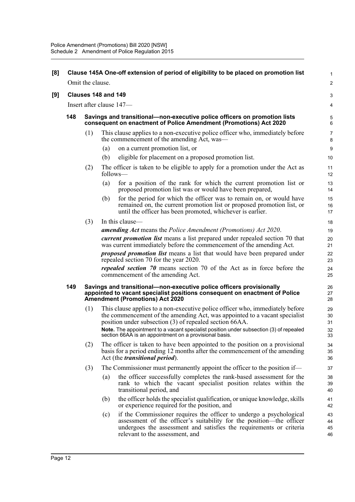| [8] |                     |                                                                                                                                                |                          | Clause 145A One-off extension of period of eligibility to be placed on promotion list                                                                                                                                                                 | 1                    |  |  |  |
|-----|---------------------|------------------------------------------------------------------------------------------------------------------------------------------------|--------------------------|-------------------------------------------------------------------------------------------------------------------------------------------------------------------------------------------------------------------------------------------------------|----------------------|--|--|--|
|     |                     | Omit the clause.                                                                                                                               |                          |                                                                                                                                                                                                                                                       | $\overline{a}$       |  |  |  |
| [9] | Clauses 148 and 149 |                                                                                                                                                |                          |                                                                                                                                                                                                                                                       |                      |  |  |  |
|     |                     |                                                                                                                                                | Insert after clause 147- |                                                                                                                                                                                                                                                       | 4                    |  |  |  |
|     | 148                 | Savings and transitional—non-executive police officers on promotion lists<br>consequent on enactment of Police Amendment (Promotions) Act 2020 |                          |                                                                                                                                                                                                                                                       |                      |  |  |  |
|     |                     | (1)                                                                                                                                            |                          | This clause applies to a non-executive police officer who, immediately before<br>the commencement of the amending Act, was—                                                                                                                           | 7<br>8               |  |  |  |
|     |                     |                                                                                                                                                | (a)                      | on a current promotion list, or                                                                                                                                                                                                                       | 9                    |  |  |  |
|     |                     |                                                                                                                                                | (b)                      | eligible for placement on a proposed promotion list.                                                                                                                                                                                                  | 10                   |  |  |  |
|     |                     | (2)                                                                                                                                            | follows—                 | The officer is taken to be eligible to apply for a promotion under the Act as                                                                                                                                                                         | 11<br>12             |  |  |  |
|     |                     |                                                                                                                                                | (a)                      | for a position of the rank for which the current promotion list or<br>proposed promotion list was or would have been prepared,                                                                                                                        | 13<br>14             |  |  |  |
|     |                     |                                                                                                                                                | (b)                      | for the period for which the officer was to remain on, or would have<br>remained on, the current promotion list or proposed promotion list, or<br>until the officer has been promoted, whichever is earlier.                                          | 15<br>16<br>17       |  |  |  |
|     |                     | (3)                                                                                                                                            |                          | In this clause—                                                                                                                                                                                                                                       | 18                   |  |  |  |
|     |                     |                                                                                                                                                |                          | <b>amending Act</b> means the Police Amendment (Promotions) Act 2020.                                                                                                                                                                                 | 19                   |  |  |  |
|     |                     |                                                                                                                                                |                          | <i>current promotion list</i> means a list prepared under repealed section 70 that<br>was current immediately before the commencement of the amending Act.                                                                                            | 20<br>21             |  |  |  |
|     |                     |                                                                                                                                                |                          | proposed promotion list means a list that would have been prepared under<br>repealed section 70 for the year 2020.                                                                                                                                    | 22<br>23             |  |  |  |
|     |                     |                                                                                                                                                |                          | <i>repealed section 70</i> means section 70 of the Act as in force before the<br>commencement of the amending Act.                                                                                                                                    | 24<br>25             |  |  |  |
|     | 149                 |                                                                                                                                                |                          | Savings and transitional—non-executive police officers provisionally<br>appointed to vacant specialist positions consequent on enactment of Police<br><b>Amendment (Promotions) Act 2020</b>                                                          | 26<br>27<br>28       |  |  |  |
|     |                     | (1)                                                                                                                                            |                          | This clause applies to a non-executive police officer who, immediately before<br>the commencement of the amending Act, was appointed to a vacant specialist<br>position under subsection (3) of repealed section 66AA.                                | 29<br>30<br>31       |  |  |  |
|     |                     |                                                                                                                                                |                          | Note. The appointment to a vacant specialist position under subsection (3) of repealed<br>section 66AA is an appointment on a provisional basis.                                                                                                      | 32<br>33             |  |  |  |
|     |                     | (2)                                                                                                                                            |                          | The officer is taken to have been appointed to the position on a provisional<br>basis for a period ending 12 months after the commencement of the amending<br>Act (the <i>transitional period</i> ).                                                  | 34<br>35<br>36       |  |  |  |
|     |                     | (3)                                                                                                                                            |                          | The Commissioner must permanently appoint the officer to the position if—                                                                                                                                                                             | 37                   |  |  |  |
|     |                     |                                                                                                                                                | (a)                      | the officer successfully completes the rank-based assessment for the<br>rank to which the vacant specialist position relates within the<br>transitional period, and                                                                                   | 38<br>39<br>40       |  |  |  |
|     |                     |                                                                                                                                                | (b)                      | the officer holds the specialist qualification, or unique knowledge, skills<br>or experience required for the position, and                                                                                                                           | 41<br>42             |  |  |  |
|     |                     |                                                                                                                                                | (c)                      | if the Commissioner requires the officer to undergo a psychological<br>assessment of the officer's suitability for the position—the officer<br>undergoes the assessment and satisfies the requirements or criteria<br>relevant to the assessment, and | 43<br>44<br>45<br>46 |  |  |  |